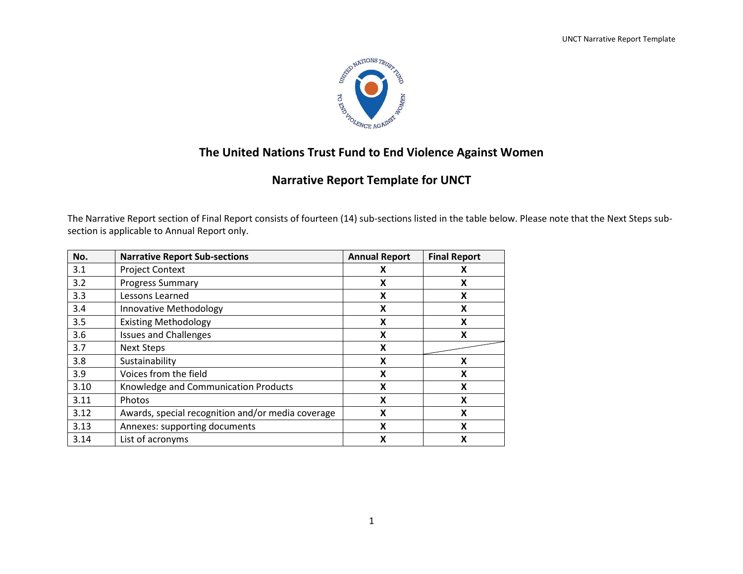

## **The United Nations Trust Fund to End Violence Against Women**

# **Narrative Report Template for UNCT**

The Narrative Report section of Final Report consists of fourteen (14) sub-sections listed in the table below. Please note that the Next Steps subsection is applicable to Annual Report only.

| No.  | <b>Narrative Report Sub-sections</b>              | <b>Annual Report</b> | <b>Final Report</b> |
|------|---------------------------------------------------|----------------------|---------------------|
| 3.1  | <b>Project Context</b>                            | х                    | χ                   |
| 3.2  | <b>Progress Summary</b>                           | X                    | X                   |
| 3.3  | Lessons Learned                                   | X                    | X                   |
| 3.4  | Innovative Methodology                            | X                    | X                   |
| 3.5  | <b>Existing Methodology</b>                       | Χ                    | X                   |
| 3.6  | <b>Issues and Challenges</b>                      | Χ                    | X                   |
| 3.7  | <b>Next Steps</b>                                 | X                    |                     |
| 3.8  | Sustainability                                    | X                    | X                   |
| 3.9  | Voices from the field                             | X                    | X                   |
| 3.10 | Knowledge and Communication Products              | X                    | X                   |
| 3.11 | Photos                                            | X                    | X                   |
| 3.12 | Awards, special recognition and/or media coverage | X                    | X                   |
| 3.13 | Annexes: supporting documents                     | X                    | X                   |
| 3.14 | List of acronyms                                  | X                    | X                   |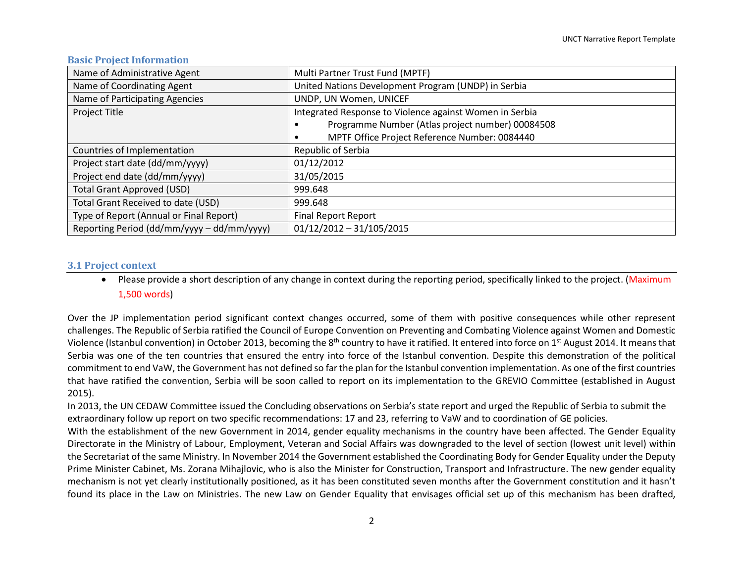#### **Basic Project Information**

| Name of Administrative Agent               | Multi Partner Trust Fund (MPTF)                         |
|--------------------------------------------|---------------------------------------------------------|
| Name of Coordinating Agent                 | United Nations Development Program (UNDP) in Serbia     |
| Name of Participating Agencies             | UNDP, UN Women, UNICEF                                  |
| Project Title                              | Integrated Response to Violence against Women in Serbia |
|                                            | Programme Number (Atlas project number) 00084508        |
|                                            | MPTF Office Project Reference Number: 0084440           |
| Countries of Implementation                | Republic of Serbia                                      |
| Project start date (dd/mm/yyyy)            | 01/12/2012                                              |
| Project end date (dd/mm/yyyy)              | 31/05/2015                                              |
| <b>Total Grant Approved (USD)</b>          | 999.648                                                 |
| Total Grant Received to date (USD)         | 999.648                                                 |
| Type of Report (Annual or Final Report)    | <b>Final Report Report</b>                              |
| Reporting Period (dd/mm/yyyy - dd/mm/yyyy) | $01/12/2012 - 31/105/2015$                              |

#### **3.1 Project context**

• Please provide a short description of any change in context during the reporting period, specifically linked to the project. (Maximum 1,500 words)

Over the JP implementation period significant context changes occurred, some of them with positive consequences while other represent challenges. The Republic of Serbia ratified the Council of Europe Convention on Preventing and Combating Violence against Women and Domestic Violence (Istanbul convention) in October 2013, becoming the 8<sup>th</sup> country to have it ratified. It entered into force on 1<sup>st</sup> August 2014. It means that Serbia was one of the ten countries that ensured the entry into force of the Istanbul convention. Despite this demonstration of the political commitment to end VaW, the Government has not defined so far the plan for the Istanbul convention implementation. As one of the first countries that have ratified the convention, Serbia will be soon called to report on its implementation to the GREVIO Committee (established in August 2015).

In 2013, the UN CEDAW Committee issued the Concluding observations on Serbia's state report and urged the Republic of Serbia to submit the extraordinary follow up report on two specific recommendations: 17 and 23, referring to VaW and to coordination of GE policies.

With the establishment of the new Government in 2014, gender equality mechanisms in the country have been affected. The Gender Equality Directorate in the Ministry of Labour, Employment, Veteran and Social Affairs was downgraded to the level of section (lowest unit level) within the Secretariat of the same Ministry. In November 2014 the Government established the Coordinating Body for Gender Equality under the Deputy Prime Minister Cabinet, Ms. Zorana Mihajlovic, who is also the Minister for Construction, Transport and Infrastructure. The new gender equality mechanism is not yet clearly institutionally positioned, as it has been constituted seven months after the Government constitution and it hasn't found its place in the Law on Ministries. The new Law on Gender Equality that envisages official set up of this mechanism has been drafted,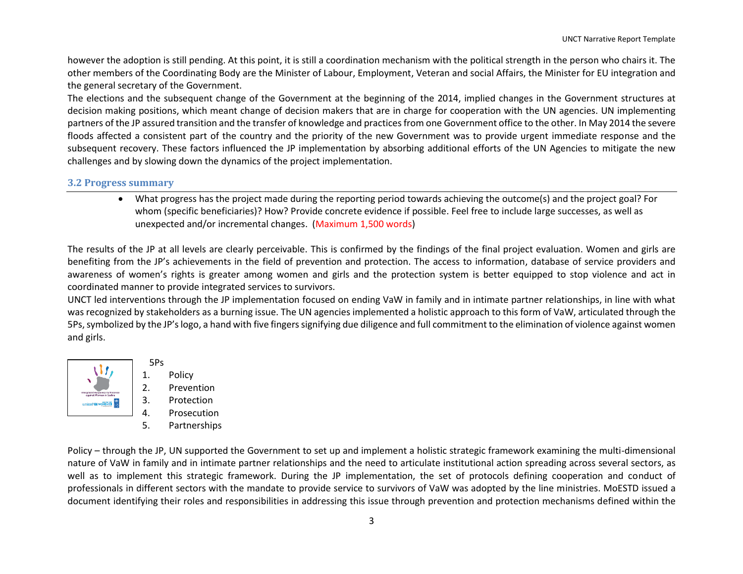however the adoption is still pending. At this point, it is still a coordination mechanism with the political strength in the person who chairs it. The other members of the Coordinating Body are the Minister of Labour, Employment, Veteran and social Affairs, the Minister for EU integration and the general secretary of the Government.

The elections and the subsequent change of the Government at the beginning of the 2014, implied changes in the Government structures at decision making positions, which meant change of decision makers that are in charge for cooperation with the UN agencies. UN implementing partners of the JP assured transition and the transfer of knowledge and practices from one Government office to the other. In May 2014 the severe floods affected a consistent part of the country and the priority of the new Government was to provide urgent immediate response and the subsequent recovery. These factors influenced the JP implementation by absorbing additional efforts of the UN Agencies to mitigate the new challenges and by slowing down the dynamics of the project implementation.

#### **3.2 Progress summary**

 What progress has the project made during the reporting period towards achieving the outcome(s) and the project goal? For whom (specific beneficiaries)? How? Provide concrete evidence if possible. Feel free to include large successes, as well as unexpected and/or incremental changes. (Maximum 1,500 words)

The results of the JP at all levels are clearly perceivable. This is confirmed by the findings of the final project evaluation. Women and girls are benefiting from the JP's achievements in the field of prevention and protection. The access to information, database of service providers and awareness of women's rights is greater among women and girls and the protection system is better equipped to stop violence and act in coordinated manner to provide integrated services to survivors.

UNCT led interventions through the JP implementation focused on ending VaW in family and in intimate partner relationships, in line with what was recognized by stakeholders as a burning issue. The UN agencies implemented a holistic approach to this form of VaW, articulated through the 5Ps, symbolized by the JP'slogo, a hand with five fingers signifying due diligence and full commitment to the elimination of violence against women and girls.



- 5Ps 1. Policy
- 2. Prevention
- 3. Protection
- 4. Prosecution
- 5. Partnerships

Policy – through the JP, UN supported the Government to set up and implement a holistic strategic framework examining the multi-dimensional nature of VaW in family and in intimate partner relationships and the need to articulate institutional action spreading across several sectors, as well as to implement this strategic framework. During the JP implementation, the set of protocols defining cooperation and conduct of professionals in different sectors with the mandate to provide service to survivors of VaW was adopted by the line ministries. MoESTD issued a document identifying their roles and responsibilities in addressing this issue through prevention and protection mechanisms defined within the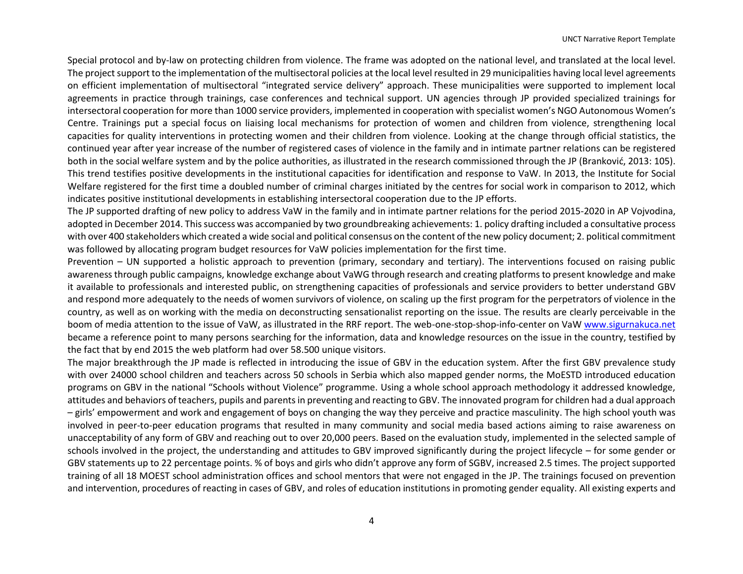Special protocol and by-law on protecting children from violence. The frame was adopted on the national level, and translated at the local level. The project support to the implementation of the multisectoral policies at the local level resulted in 29 municipalities having local level agreements on efficient implementation of multisectoral "integrated service delivery" approach. These municipalities were supported to implement local agreements in practice through trainings, case conferences and technical support. UN agencies through JP provided specialized trainings for intersectoral cooperation for more than 1000 service providers, implemented in cooperation with specialist women's NGO Autonomous Women's Centre. Trainings put a special focus on liaising local mechanisms for protection of women and children from violence, strengthening local capacities for quality interventions in protecting women and their children from violence. Looking at the change through official statistics, the continued year after year increase of the number of registered cases of violence in the family and in intimate partner relations can be registered both in the social welfare system and by the police authorities, as illustrated in the research commissioned through the JP (Branković, 2013: 105). This trend testifies positive developments in the institutional capacities for identification and response to VaW. In 2013, the Institute for Social Welfare registered for the first time a doubled number of criminal charges initiated by the centres for social work in comparison to 2012, which indicates positive institutional developments in establishing intersectoral cooperation due to the JP efforts.

The JP supported drafting of new policy to address VaW in the family and in intimate partner relations for the period 2015-2020 in AP Vojvodina, adopted in December 2014. Thissuccess was accompanied by two groundbreaking achievements: 1. policy drafting included a consultative process with over 400 stakeholders which created a wide social and political consensus on the content of the new policy document; 2. political commitment was followed by allocating program budget resources for VaW policies implementation for the first time.

Prevention – UN supported a holistic approach to prevention (primary, secondary and tertiary). The interventions focused on raising public awareness through public campaigns, knowledge exchange about VaWG through research and creating platforms to present knowledge and make it available to professionals and interested public, on strengthening capacities of professionals and service providers to better understand GBV and respond more adequately to the needs of women survivors of violence, on scaling up the first program for the perpetrators of violence in the country, as well as on working with the media on deconstructing sensationalist reporting on the issue. The results are clearly perceivable in the boom of media attention to the issue of VaW, as illustrated in the RRF report. The web-one-stop-shop-info-center on Va[W www.sigurnakuca.net](http://www.sigurnakuca.net/) became a reference point to many persons searching for the information, data and knowledge resources on the issue in the country, testified by the fact that by end 2015 the web platform had over 58.500 unique visitors.

The major breakthrough the JP made is reflected in introducing the issue of GBV in the education system. After the first GBV prevalence study with over 24000 school children and teachers across 50 schools in Serbia which also mapped gender norms, the MoESTD introduced education programs on GBV in the national "Schools without Violence" programme. Using a whole school approach methodology it addressed knowledge, attitudes and behaviors of teachers, pupils and parents in preventing and reacting to GBV. The innovated program for children had a dual approach – girls' empowerment and work and engagement of boys on changing the way they perceive and practice masculinity. The high school youth was involved in peer-to-peer education programs that resulted in many community and social media based actions aiming to raise awareness on unacceptability of any form of GBV and reaching out to over 20,000 peers. Based on the evaluation study, implemented in the selected sample of schools involved in the project, the understanding and attitudes to GBV improved significantly during the project lifecycle – for some gender or GBV statements up to 22 percentage points. % of boys and girls who didn't approve any form of SGBV, increased 2.5 times. The project supported training of all 18 MOEST school administration offices and school mentors that were not engaged in the JP. The trainings focused on prevention and intervention, procedures of reacting in cases of GBV, and roles of education institutions in promoting gender equality. All existing experts and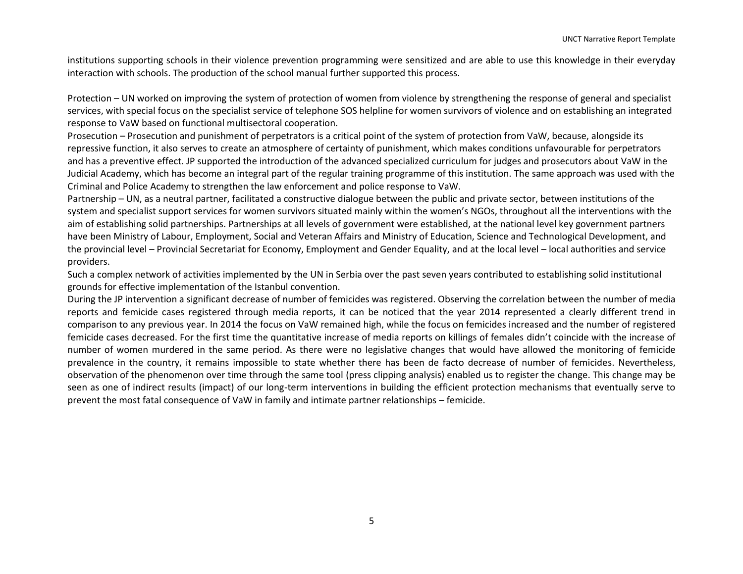institutions supporting schools in their violence prevention programming were sensitized and are able to use this knowledge in their everyday interaction with schools. The production of the school manual further supported this process.

Protection – UN worked on improving the system of protection of women from violence by strengthening the response of general and specialist services, with special focus on the specialist service of telephone SOS helpline for women survivors of violence and on establishing an integrated response to VaW based on functional multisectoral cooperation.

Prosecution – Prosecution and punishment of perpetrators is a critical point of the system of protection from VaW, because, alongside its repressive function, it also serves to create an atmosphere of certainty of punishment, which makes conditions unfavourable for perpetrators and has a preventive effect. JP supported the introduction of the advanced specialized curriculum for judges and prosecutors about VaW in the Judicial Academy, which has become an integral part of the regular training programme of this institution. The same approach was used with the Criminal and Police Academy to strengthen the law enforcement and police response to VaW.

Partnership – UN, as a neutral partner, facilitated a constructive dialogue between the public and private sector, between institutions of the system and specialist support services for women survivors situated mainly within the women's NGOs, throughout all the interventions with the aim of establishing solid partnerships. Partnerships at all levels of government were established, at the national level key government partners have been Ministry of Labour, Employment, Social and Veteran Affairs and Ministry of Education, Science and Technological Development, and the provincial level – Provincial Secretariat for Economy, Employment and Gender Equality, and at the local level – local authorities and service providers.

Such a complex network of activities implemented by the UN in Serbia over the past seven years contributed to establishing solid institutional grounds for effective implementation of the Istanbul convention.

During the JP intervention a significant decrease of number of femicides was registered. Observing the correlation between the number of media reports and femicide cases registered through media reports, it can be noticed that the year 2014 represented a clearly different trend in comparison to any previous year. In 2014 the focus on VaW remained high, while the focus on femicides increased and the number of registered femicide cases decreased. For the first time the quantitative increase of media reports on killings of females didn't coincide with the increase of number of women murdered in the same period. As there were no legislative changes that would have allowed the monitoring of femicide prevalence in the country, it remains impossible to state whether there has been de facto decrease of number of femicides. Nevertheless, observation of the phenomenon over time through the same tool (press clipping analysis) enabled us to register the change. This change may be seen as one of indirect results (impact) of our long-term interventions in building the efficient protection mechanisms that eventually serve to prevent the most fatal consequence of VaW in family and intimate partner relationships – femicide.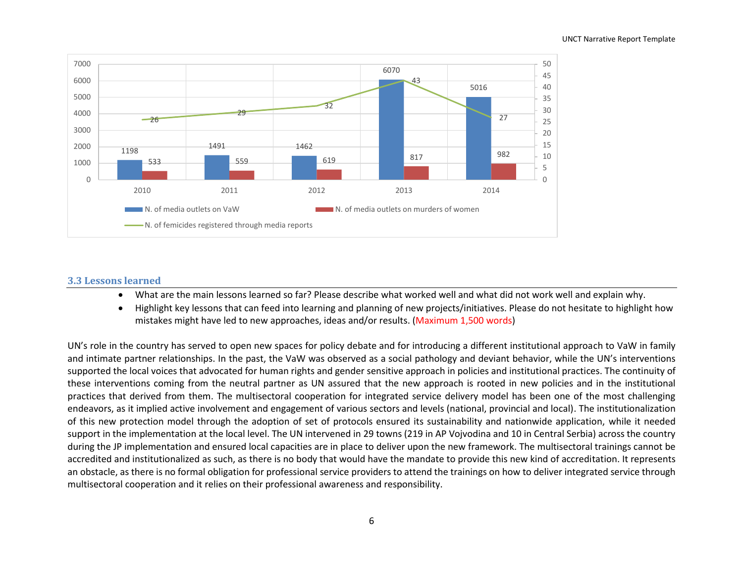

#### **3.3 Lessons learned**

- What are the main lessons learned so far? Please describe what worked well and what did not work well and explain why.
- Highlight key lessons that can feed into learning and planning of new projects/initiatives. Please do not hesitate to highlight how mistakes might have led to new approaches, ideas and/or results. (Maximum 1,500 words)

UN's role in the country has served to open new spaces for policy debate and for introducing a different institutional approach to VaW in family and intimate partner relationships. In the past, the VaW was observed as a social pathology and deviant behavior, while the UN's interventions supported the local voices that advocated for human rights and gender sensitive approach in policies and institutional practices. The continuity of these interventions coming from the neutral partner as UN assured that the new approach is rooted in new policies and in the institutional practices that derived from them. The multisectoral cooperation for integrated service delivery model has been one of the most challenging endeavors, as it implied active involvement and engagement of various sectors and levels (national, provincial and local). The institutionalization of this new protection model through the adoption of set of protocols ensured its sustainability and nationwide application, while it needed support in the implementation at the local level. The UN intervened in 29 towns (219 in AP Vojvodina and 10 in Central Serbia) across the country during the JP implementation and ensured local capacities are in place to deliver upon the new framework. The multisectoral trainings cannot be accredited and institutionalized as such, as there is no body that would have the mandate to provide this new kind of accreditation. It represents an obstacle, as there is no formal obligation for professional service providers to attend the trainings on how to deliver integrated service through multisectoral cooperation and it relies on their professional awareness and responsibility.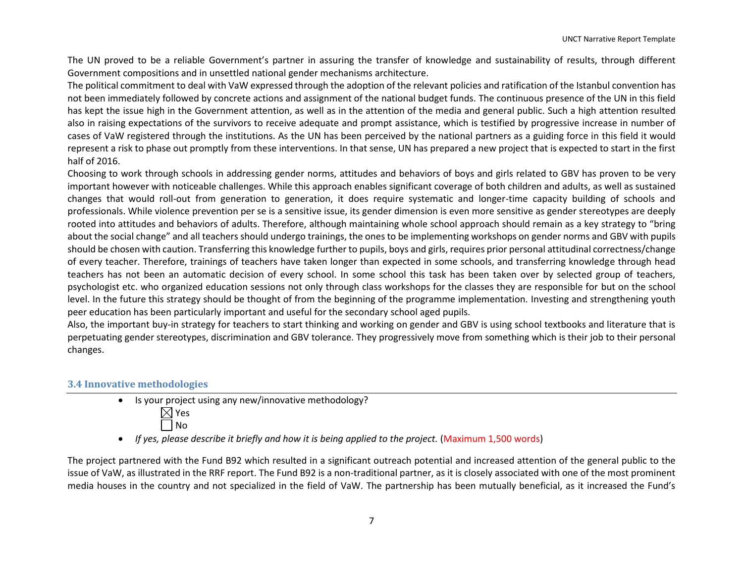The UN proved to be a reliable Government's partner in assuring the transfer of knowledge and sustainability of results, through different Government compositions and in unsettled national gender mechanisms architecture.

The political commitment to deal with VaW expressed through the adoption of the relevant policies and ratification of the Istanbul convention has not been immediately followed by concrete actions and assignment of the national budget funds. The continuous presence of the UN in this field has kept the issue high in the Government attention, as well as in the attention of the media and general public. Such a high attention resulted also in raising expectations of the survivors to receive adequate and prompt assistance, which is testified by progressive increase in number of cases of VaW registered through the institutions. As the UN has been perceived by the national partners as a guiding force in this field it would represent a risk to phase out promptly from these interventions. In that sense, UN has prepared a new project that is expected to start in the first half of 2016.

Choosing to work through schools in addressing gender norms, attitudes and behaviors of boys and girls related to GBV has proven to be very important however with noticeable challenges. While this approach enables significant coverage of both children and adults, as well as sustained changes that would roll-out from generation to generation, it does require systematic and longer-time capacity building of schools and professionals. While violence prevention per se is a sensitive issue, its gender dimension is even more sensitive as gender stereotypes are deeply rooted into attitudes and behaviors of adults. Therefore, although maintaining whole school approach should remain as a key strategy to "bring about the social change" and all teachers should undergo trainings, the ones to be implementing workshops on gender norms and GBV with pupils should be chosen with caution. Transferring this knowledge further to pupils, boys and girls, requires prior personal attitudinal correctness/change of every teacher. Therefore, trainings of teachers have taken longer than expected in some schools, and transferring knowledge through head teachers has not been an automatic decision of every school. In some school this task has been taken over by selected group of teachers, psychologist etc. who organized education sessions not only through class workshops for the classes they are responsible for but on the school level. In the future this strategy should be thought of from the beginning of the programme implementation. Investing and strengthening youth peer education has been particularly important and useful for the secondary school aged pupils.

Also, the important buy-in strategy for teachers to start thinking and working on gender and GBV is using school textbooks and literature that is perpetuating gender stereotypes, discrimination and GBV tolerance. They progressively move from something which is their job to their personal changes.

#### **3.4 Innovative methodologies**

- $\bullet$  Is your project using any new/innovative methodology?  $\boxtimes$  Yes
	- No

• If yes, please describe it briefly and how it is being applied to the project. (Maximum 1,500 words)

The project partnered with the Fund B92 which resulted in a significant outreach potential and increased attention of the general public to the issue of VaW, as illustrated in the RRF report. The Fund B92 is a non-traditional partner, as it is closely associated with one of the most prominent media houses in the country and not specialized in the field of VaW. The partnership has been mutually beneficial, as it increased the Fund's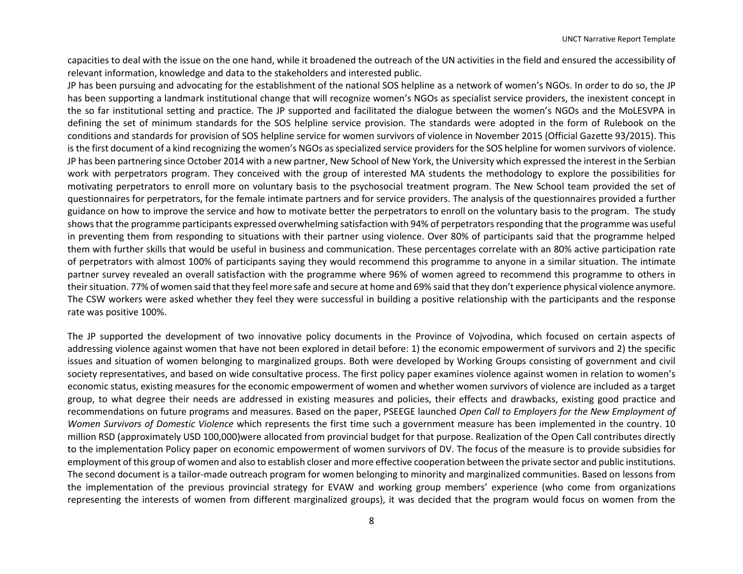capacities to deal with the issue on the one hand, while it broadened the outreach of the UN activities in the field and ensured the accessibility of relevant information, knowledge and data to the stakeholders and interested public.

JP has been pursuing and advocating for the establishment of the national SOS helpline as a network of women's NGOs. In order to do so, the JP has been supporting a landmark institutional change that will recognize women's NGOs as specialist service providers, the inexistent concept in the so far institutional setting and practice. The JP supported and facilitated the dialogue between the women's NGOs and the MoLESVPA in defining the set of minimum standards for the SOS helpline service provision. The standards were adopted in the form of Rulebook on the conditions and standards for provision of SOS helpline service for women survivors of violence in November 2015 (Official Gazette 93/2015). This is the first document of a kind recognizing the women's NGOs as specialized service providers for the SOS helpline for women survivors of violence. JP has been partnering since October 2014 with a new partner, New School of New York, the University which expressed the interest in the Serbian work with perpetrators program. They conceived with the group of interested MA students the methodology to explore the possibilities for motivating perpetrators to enroll more on voluntary basis to the psychosocial treatment program. The New School team provided the set of questionnaires for perpetrators, for the female intimate partners and for service providers. The analysis of the questionnaires provided a further guidance on how to improve the service and how to motivate better the perpetrators to enroll on the voluntary basis to the program. The study shows that the programme participants expressed overwhelming satisfaction with 94% of perpetrators responding that the programme was useful in preventing them from responding to situations with their partner using violence. Over 80% of participants said that the programme helped them with further skills that would be useful in business and communication. These percentages correlate with an 80% active participation rate of perpetrators with almost 100% of participants saying they would recommend this programme to anyone in a similar situation. The intimate partner survey revealed an overall satisfaction with the programme where 96% of women agreed to recommend this programme to others in their situation. 77% of women said that they feel more safe and secure at home and 69% said that they don't experience physical violence anymore. The CSW workers were asked whether they feel they were successful in building a positive relationship with the participants and the response rate was positive 100%.

The JP supported the development of two innovative policy documents in the Province of Vojvodina, which focused on certain aspects of addressing violence against women that have not been explored in detail before: 1) the economic empowerment of survivors and 2) the specific issues and situation of women belonging to marginalized groups. Both were developed by Working Groups consisting of government and civil society representatives, and based on wide consultative process. The first policy paper examines violence against women in relation to women's economic status, existing measures for the economic empowerment of women and whether women survivors of violence are included as a target group, to what degree their needs are addressed in existing measures and policies, their effects and drawbacks, existing good practice and recommendations on future programs and measures. Based on the paper, PSEEGE launched *Open Call to Employers for the New Employment of Women Survivors of Domestic Violence* which represents the first time such a government measure has been implemented in the country. 10 million RSD (approximately USD 100,000)were allocated from provincial budget for that purpose. Realization of the Open Call contributes directly to the implementation Policy paper on economic empowerment of women survivors of DV. The focus of the measure is to provide subsidies for employment of this group of women and also to establish closer and more effective cooperation between the private sector and public institutions. The second document is a tailor-made outreach program for women belonging to minority and marginalized communities. Based on lessons from the implementation of the previous provincial strategy for EVAW and working group members' experience (who come from organizations representing the interests of women from different marginalized groups), it was decided that the program would focus on women from the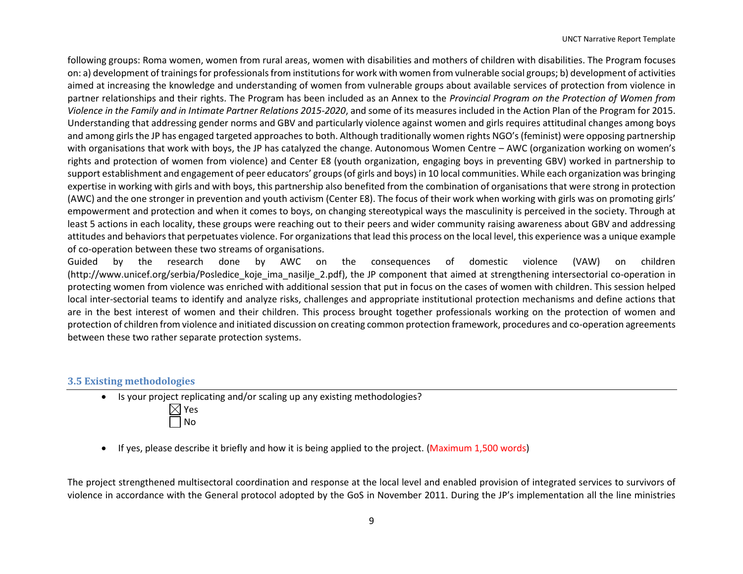following groups: Roma women, women from rural areas, women with disabilities and mothers of children with disabilities. The Program focuses on: a) development of trainings for professionals from institutions for work with women from vulnerable social groups; b) development of activities aimed at increasing the knowledge and understanding of women from vulnerable groups about available services of protection from violence in partner relationships and their rights. The Program has been included as an Annex to the *Provincial Program on the Protection of Women from Violence in the Family and in Intimate Partner Relations 2015-2020*, and some of its measures included in the Action Plan of the Program for 2015. Understanding that addressing gender norms and GBV and particularly violence against women and girls requires attitudinal changes among boys and among girls the JP has engaged targeted approaches to both. Although traditionally women rights NGO's (feminist) were opposing partnership with organisations that work with boys, the JP has catalyzed the change. Autonomous Women Centre – AWC (organization working on women's rights and protection of women from violence) and Center E8 (youth organization, engaging boys in preventing GBV) worked in partnership to support establishment and engagement of peer educators' groups (of girls and boys) in 10 local communities. While each organization was bringing expertise in working with girls and with boys, this partnership also benefited from the combination of organisations that were strong in protection (AWC) and the one stronger in prevention and youth activism (Center E8). The focus of their work when working with girls was on promoting girls' empowerment and protection and when it comes to boys, on changing stereotypical ways the masculinity is perceived in the society. Through at least 5 actions in each locality, these groups were reaching out to their peers and wider community raising awareness about GBV and addressing attitudes and behaviors that perpetuates violence. For organizations that lead this process on the local level, this experience was a unique example of co-operation between these two streams of organisations.

Guided by the research done by AWC on the consequences of domestic violence (VAW) on children (http://www.unicef.org/serbia/Posledice\_koje\_ima\_nasilje\_2.pdf), the JP component that aimed at strengthening intersectorial co-operation in protecting women from violence was enriched with additional session that put in focus on the cases of women with children. This session helped local inter-sectorial teams to identify and analyze risks, challenges and appropriate institutional protection mechanisms and define actions that are in the best interest of women and their children. This process brought together professionals working on the protection of women and protection of children from violence and initiated discussion on creating common protection framework, procedures and co-operation agreements between these two rather separate protection systems.

#### **3.5 Existing methodologies**

- Is your project replicating and/or scaling up any existing methodologies?  $\boxtimes$  Yes No
- If yes, please describe it briefly and how it is being applied to the project. (Maximum 1,500 words)

The project strengthened multisectoral coordination and response at the local level and enabled provision of integrated services to survivors of violence in accordance with the General protocol adopted by the GoS in November 2011. During the JP's implementation all the line ministries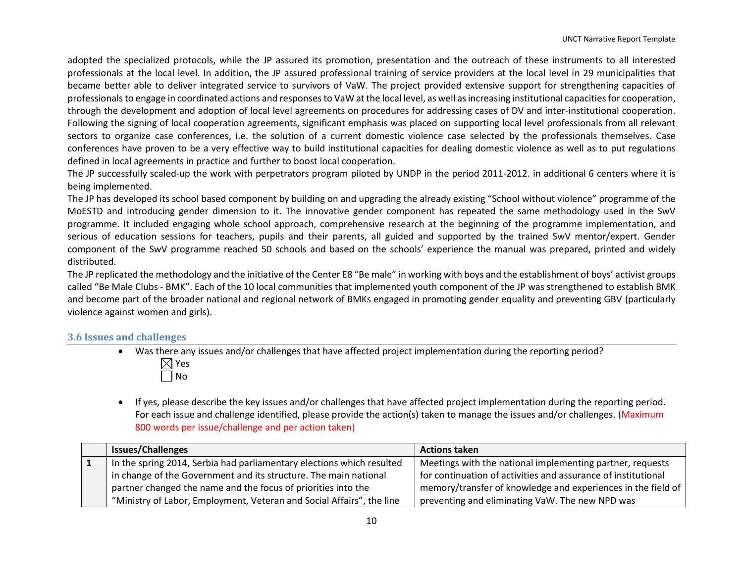adopted the specialized protocols, while the JP assured its promotion, presentation and the outreach of these instruments to all interested professionals at the local level. In addition, the JP assured professional training of service providers at the local level in 29 municipalities that became better able to deliver integrated service to survivors of VaW. The project provided extensive support for strengthening capacities of professionals to engage in coordinated actions and responses to VaW at the local level, as well as increasing institutional capacities for cooperation, through the development and adoption of local level agreements on procedures for addressing cases of DV and inter-institutional cooperation. Following the signing of local cooperation agreements, significant emphasis was placed on supporting local level professionals from all relevant sectors to organize case conferences, i.e. the solution of a current domestic violence case selected by the professionals themselves. Case conferences have proven to be a very effective way to build institutional capacities for dealing domestic violence as well as to put regulations defined in local agreements in practice and further to boost local cooperation.

The JP successfully scaled-up the work with perpetrators program piloted by UNDP in the period 2011-2012. in additional 6 centers where it is being implemented.

The JP has developed its school based component by building on and upgrading the already existing "School without violence" programme of the MoESTD and introducing gender dimension to it. The innovative gender component has repeated the same methodology used in the SwV programme. It included engaging whole school approach, comprehensive research at the beginning of the programme implementation, and serious of education sessions for teachers, pupils and their parents, all guided and supported by the trained SwV mentor/expert. Gender component of the SwV programme reached 50 schools and based on the schools' experience the manual was prepared, printed and widely distributed.

The JP replicated the methodology and the initiative of the Center E8 "Be male" in working with boys and the establishment of boys' activist groups called "Be Male Clubs - BMK". Each of the 10 local communities that implemented youth component of the JP was strengthened to establish BMK and become part of the broader national and regional network of BMKs engaged in promoting gender equality and preventing GBV (particularly violence against women and girls).

#### **3.6 Issues and challenges**

- Was there any issues and/or challenges that have affected project implementation during the reporting period?  $\boxtimes$  Yes No
- If yes, please describe the key issues and/or challenges that have affected project implementation during the reporting period. For each issue and challenge identified, please provide the action(s) taken to manage the issues and/or challenges. (Maximum 800 words per issue/challenge and per action taken)

| <b>Issues/Challenges</b>                                                | <b>Actions taken</b>                                          |
|-------------------------------------------------------------------------|---------------------------------------------------------------|
| I In the spring 2014, Serbia had parliamentary elections which resulted | Meetings with the national implementing partner, requests     |
| in change of the Government and its structure. The main national        | for continuation of activities and assurance of institutional |
| partner changed the name and the focus of priorities into the           | memory/transfer of knowledge and experiences in the field of  |
| "Ministry of Labor, Employment, Veteran and Social Affairs", the line   | preventing and eliminating VaW. The new NPD was               |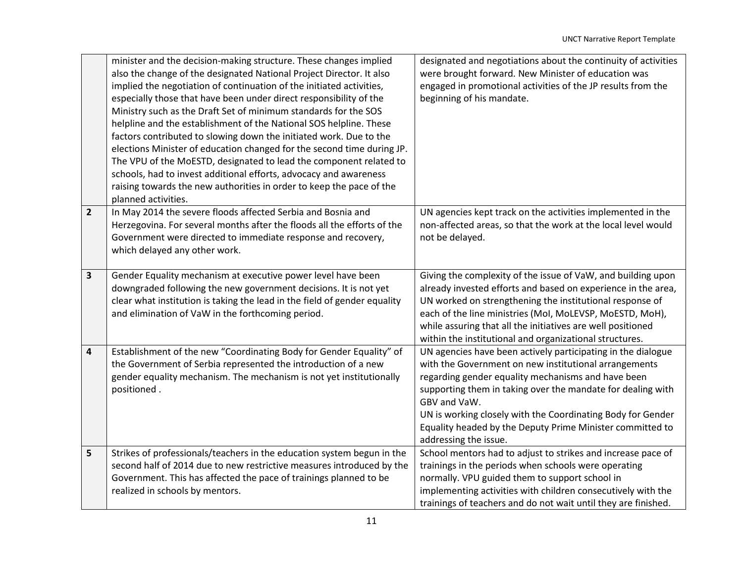|                | minister and the decision-making structure. These changes implied<br>also the change of the designated National Project Director. It also<br>implied the negotiation of continuation of the initiated activities,<br>especially those that have been under direct responsibility of the<br>Ministry such as the Draft Set of minimum standards for the SOS<br>helpline and the establishment of the National SOS helpline. These<br>factors contributed to slowing down the initiated work. Due to the<br>elections Minister of education changed for the second time during JP.<br>The VPU of the MoESTD, designated to lead the component related to<br>schools, had to invest additional efforts, advocacy and awareness | designated and negotiations about the continuity of activities<br>were brought forward. New Minister of education was<br>engaged in promotional activities of the JP results from the<br>beginning of his mandate.                                                                                                                                                                                              |
|----------------|-----------------------------------------------------------------------------------------------------------------------------------------------------------------------------------------------------------------------------------------------------------------------------------------------------------------------------------------------------------------------------------------------------------------------------------------------------------------------------------------------------------------------------------------------------------------------------------------------------------------------------------------------------------------------------------------------------------------------------|-----------------------------------------------------------------------------------------------------------------------------------------------------------------------------------------------------------------------------------------------------------------------------------------------------------------------------------------------------------------------------------------------------------------|
|                | raising towards the new authorities in order to keep the pace of the<br>planned activities.                                                                                                                                                                                                                                                                                                                                                                                                                                                                                                                                                                                                                                 |                                                                                                                                                                                                                                                                                                                                                                                                                 |
| $\overline{2}$ | In May 2014 the severe floods affected Serbia and Bosnia and<br>Herzegovina. For several months after the floods all the efforts of the<br>Government were directed to immediate response and recovery,<br>which delayed any other work.                                                                                                                                                                                                                                                                                                                                                                                                                                                                                    | UN agencies kept track on the activities implemented in the<br>non-affected areas, so that the work at the local level would<br>not be delayed.                                                                                                                                                                                                                                                                 |
| 3              | Gender Equality mechanism at executive power level have been<br>downgraded following the new government decisions. It is not yet<br>clear what institution is taking the lead in the field of gender equality<br>and elimination of VaW in the forthcoming period.                                                                                                                                                                                                                                                                                                                                                                                                                                                          | Giving the complexity of the issue of VaW, and building upon<br>already invested efforts and based on experience in the area,<br>UN worked on strengthening the institutional response of<br>each of the line ministries (MoI, MoLEVSP, MoESTD, MoH),<br>while assuring that all the initiatives are well positioned<br>within the institutional and organizational structures.                                 |
| 4              | Establishment of the new "Coordinating Body for Gender Equality" of<br>the Government of Serbia represented the introduction of a new<br>gender equality mechanism. The mechanism is not yet institutionally<br>positioned.                                                                                                                                                                                                                                                                                                                                                                                                                                                                                                 | UN agencies have been actively participating in the dialogue<br>with the Government on new institutional arrangements<br>regarding gender equality mechanisms and have been<br>supporting them in taking over the mandate for dealing with<br>GBV and VaW.<br>UN is working closely with the Coordinating Body for Gender<br>Equality headed by the Deputy Prime Minister committed to<br>addressing the issue. |
| 5              | Strikes of professionals/teachers in the education system begun in the<br>second half of 2014 due to new restrictive measures introduced by the<br>Government. This has affected the pace of trainings planned to be<br>realized in schools by mentors.                                                                                                                                                                                                                                                                                                                                                                                                                                                                     | School mentors had to adjust to strikes and increase pace of<br>trainings in the periods when schools were operating<br>normally. VPU guided them to support school in<br>implementing activities with children consecutively with the<br>trainings of teachers and do not wait until they are finished.                                                                                                        |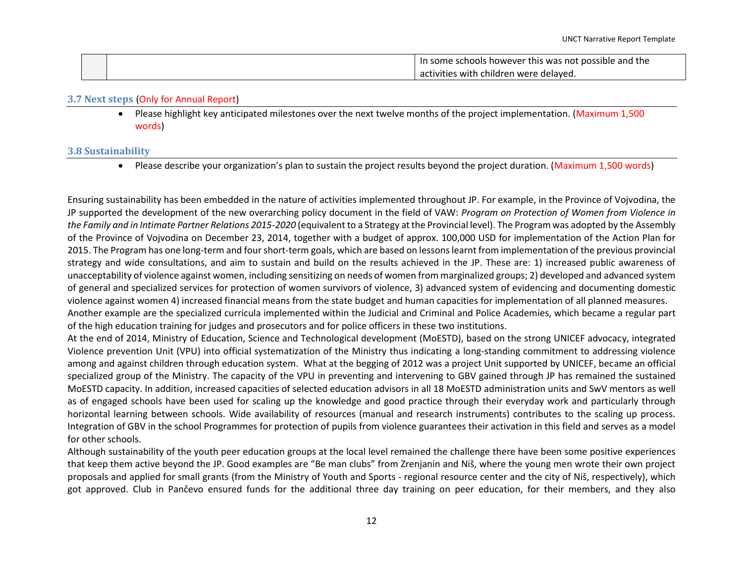|  | In some schools however this was not possible and the " |
|--|---------------------------------------------------------|
|  | activities with children were delayed.                  |

#### **3.7 Next steps** (Only for Annual Report)

 Please highlight key anticipated milestones over the next twelve months of the project implementation. (Maximum 1,500 words)

#### **3.8 Sustainability**

Please describe your organization's plan to sustain the project results beyond the project duration. (Maximum 1,500 words)

Ensuring sustainability has been embedded in the nature of activities implemented throughout JP. For example, in the Province of Vojvodina, the JP supported the development of the new overarching policy document in the field of VAW: *Program on Protection of Women from Violence in the Family and in Intimate Partner Relations 2015-2020* (equivalent to a Strategy at the Provincial level). The Program was adopted by the Assembly of the Province of Vojvodina on December 23, 2014, together with a budget of approx. 100,000 USD for implementation of the Action Plan for 2015. The Program has one long-term and fourshort-term goals, which are based on lessons learnt from implementation of the previous provincial strategy and wide consultations, and aim to sustain and build on the results achieved in the JP. These are: 1) increased public awareness of unacceptability of violence against women, including sensitizing on needs of women from marginalized groups; 2) developed and advanced system of general and specialized services for protection of women survivors of violence, 3) advanced system of evidencing and documenting domestic violence against women 4) increased financial means from the state budget and human capacities for implementation of all planned measures. Another example are the specialized curricula implemented within the Judicial and Criminal and Police Academies, which became a regular part of the high education training for judges and prosecutors and for police officers in these two institutions.

At the end of 2014, Ministry of Education, Science and Technological development (MoESTD), based on the strong UNICEF advocacy, integrated Violence prevention Unit (VPU) into official systematization of the Ministry thus indicating a long-standing commitment to addressing violence among and against children through education system. What at the begging of 2012 was a project Unit supported by UNICEF, became an official specialized group of the Ministry. The capacity of the VPU in preventing and intervening to GBV gained through JP has remained the sustained MoESTD capacity. In addition, increased capacities of selected education advisors in all 18 MoESTD administration units and SwV mentors as well as of engaged schools have been used for scaling up the knowledge and good practice through their everyday work and particularly through horizontal learning between schools. Wide availability of resources (manual and research instruments) contributes to the scaling up process. Integration of GBV in the school Programmes for protection of pupils from violence guarantees their activation in this field and serves as a model for other schools.

Although sustainability of the youth peer education groups at the local level remained the challenge there have been some positive experiences that keep them active beyond the JP. Good examples are "Be man clubs" from Zrenjanin and Niš, where the young men wrote their own project proposals and applied for small grants (from the Ministry of Youth and Sports - regional resource center and the city of Niš, respectively), which got approved. Club in Pančevo ensured funds for the additional three day training on peer education, for their members, and they also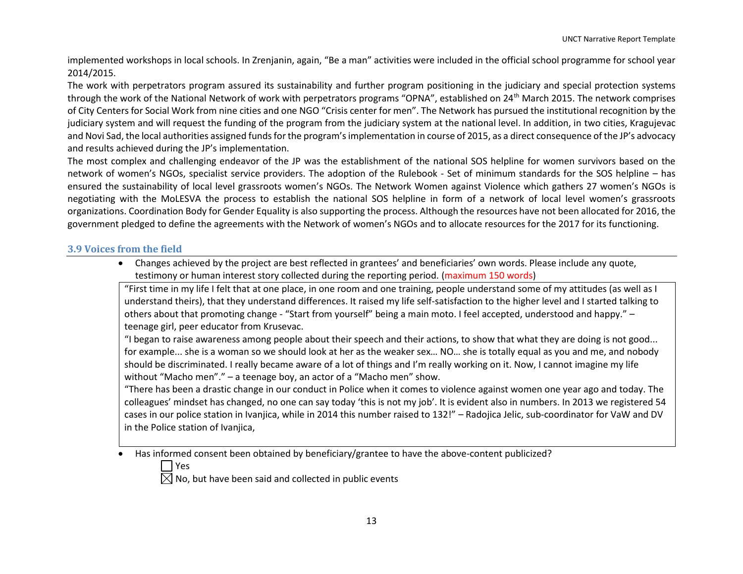implemented workshops in local schools. In Zrenjanin, again, "Be a man" activities were included in the official school programme for school year 2014/2015.

The work with perpetrators program assured its sustainability and further program positioning in the judiciary and special protection systems through the work of the National Network of work with perpetrators programs "OPNA", established on 24<sup>th</sup> March 2015. The network comprises of City Centers for Social Work from nine cities and one NGO "Crisis center for men". The Network has pursued the institutional recognition by the judiciary system and will request the funding of the program from the judiciary system at the national level. In addition, in two cities, Kragujevac and Novi Sad, the local authorities assigned funds for the program's implementation in course of 2015, as a direct consequence of the JP's advocacy and results achieved during the JP's implementation.

The most complex and challenging endeavor of the JP was the establishment of the national SOS helpline for women survivors based on the network of women's NGOs, specialist service providers. The adoption of the Rulebook - Set of minimum standards for the SOS helpline – has ensured the sustainability of local level grassroots women's NGOs. The Network Women against Violence which gathers 27 women's NGOs is negotiating with the MoLESVA the process to establish the national SOS helpline in form of a network of local level women's grassroots organizations. Coordination Body for Gender Equality is also supporting the process. Although the resources have not been allocated for 2016, the government pledged to define the agreements with the Network of women's NGOs and to allocate resources for the 2017 for its functioning.

## **3.9 Voices from the field**

 Changes achieved by the project are best reflected in grantees' and beneficiaries' own words. Please include any quote, testimony or human interest story collected during the reporting period. (maximum 150 words)

"First time in my life I felt that at one place, in one room and one training, people understand some of my attitudes (as well as I understand theirs), that they understand differences. It raised my life self-satisfaction to the higher level and I started talking to others about that promoting change - "Start from yourself" being a main moto. I feel accepted, understood and happy." – teenage girl, peer educator from Krusevac.

"I began to raise awareness among people about their speech and their actions, to show that what they are doing is not good... for example... she is a woman so we should look at her as the weaker sex… NO… she is totally equal as you and me, and nobody should be discriminated. I really became aware of a lot of things and I'm really working on it. Now, I cannot imagine my life without "Macho men"." – a teenage boy, an actor of a "Macho men" show.

"There has been a drastic change in our conduct in Police when it comes to violence against women one year ago and today. The colleagues' mindset has changed, no one can say today 'this is not my job'. It is evident also in numbers. In 2013 we registered 54 cases in our police station in Ivanjica, while in 2014 this number raised to 132!" – Radojica Jelic, sub-coordinator for VaW and DV in the Police station of Ivanjica,

Has informed consent been obtained by beneficiary/grantee to have the above-content publicized?

Yes

 $\boxtimes$  No, but have been said and collected in public events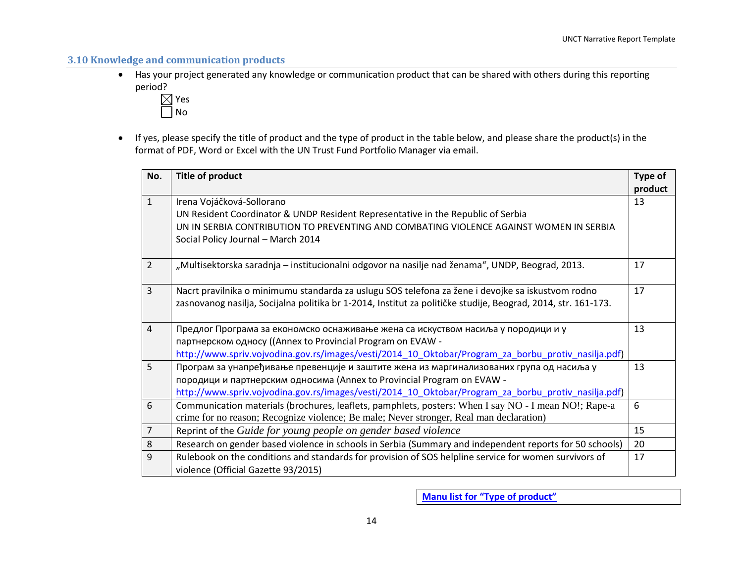## **3.10 Knowledge and communication products**

 Has your project generated any knowledge or communication product that can be shared with others during this reporting period?



 If yes, please specify the title of product and the type of product in the table below, and please share the product(s) in the format of PDF, Word or Excel with the UN Trust Fund Portfolio Manager via email.

| No.             | <b>Title of product</b>                                                                                       | Type of |
|-----------------|---------------------------------------------------------------------------------------------------------------|---------|
|                 |                                                                                                               | product |
| $\mathbf{1}$    | Irena Vojáčková-Sollorano                                                                                     | 13      |
|                 | UN Resident Coordinator & UNDP Resident Representative in the Republic of Serbia                              |         |
|                 | UN IN SERBIA CONTRIBUTION TO PREVENTING AND COMBATING VIOLENCE AGAINST WOMEN IN SERBIA                        |         |
|                 | Social Policy Journal - March 2014                                                                            |         |
| 2               | "Multisektorska saradnja – institucionalni odgovor na nasilje nad ženama", UNDP, Beograd, 2013.               | 17      |
| $\overline{3}$  | Nacrt pravilnika o minimumu standarda za uslugu SOS telefona za žene i devojke sa iskustvom rodno             | 17      |
|                 | zasnovanog nasilja, Socijalna politika br 1-2014, Institut za političke studije, Beograd, 2014, str. 161-173. |         |
| $\overline{4}$  | Предлог Програма за економско оснаживање жена са искуством насиља у породици и у                              | 13      |
|                 | партнерском односу ((Annex to Provincial Program on EVAW -                                                    |         |
|                 | http://www.spriv.vojvodina.gov.rs/images/vesti/2014 10 Oktobar/Program za borbu protiv nasilja.pdf)           |         |
| $5\overline{)}$ | Програм за унапређивање превенције и заштите жена из маргинализованих група од насиља у                       | 13      |
|                 | породици и партнерским односима (Annex to Provincial Program on EVAW -                                        |         |
|                 | http://www.spriv.vojvodina.gov.rs/images/vesti/2014 10 Oktobar/Program za borbu protiv nasilja.pdf)           |         |
| 6               | Communication materials (brochures, leaflets, pamphlets, posters: When I say NO - I mean NO!; Rape-a          | 6       |
|                 | crime for no reason; Recognize violence; Be male; Never stronger, Real man declaration)                       |         |
| $\overline{7}$  | Reprint of the Guide for young people on gender based violence                                                | 15      |
| 8               | Research on gender based violence in schools in Serbia (Summary and independent reports for 50 schools)       | 20      |
| $\overline{9}$  | Rulebook on the conditions and standards for provision of SOS helpline service for women survivors of         | 17      |
|                 | violence (Official Gazette 93/2015)                                                                           |         |

**Manu list for "Type of product"**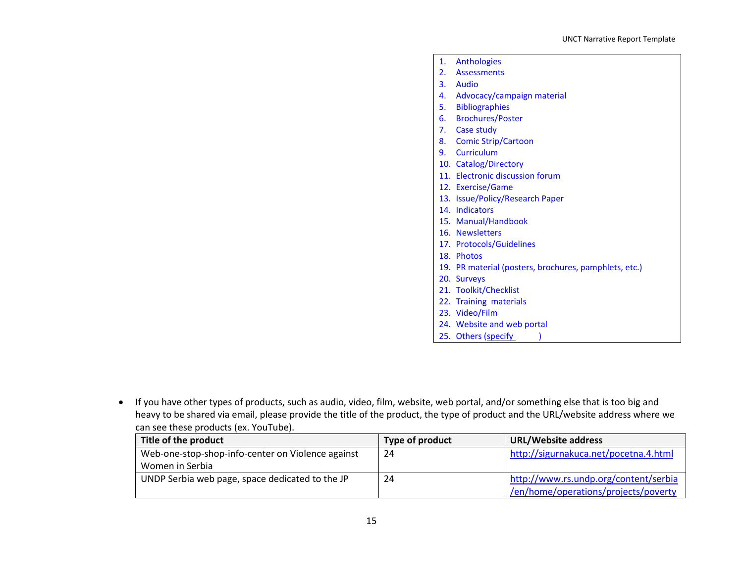| 1. | Anthologies                                           |
|----|-------------------------------------------------------|
|    | 2. Assessments                                        |
|    | 3. Audio                                              |
|    | 4. Advocacy/campaign material                         |
|    | 5. Bibliographies                                     |
|    | 6. Brochures/Poster                                   |
|    | 7. Case study                                         |
|    | 8. Comic Strip/Cartoon                                |
|    | 9. Curriculum                                         |
|    | 10. Catalog/Directory                                 |
|    | 11. Electronic discussion forum                       |
|    | 12. Exercise/Game                                     |
|    | 13. Issue/Policy/Research Paper                       |
|    | 14. Indicators                                        |
|    | 15. Manual/Handbook                                   |
|    | 16. Newsletters                                       |
|    | 17. Protocols/Guidelines                              |
|    | 18. Photos                                            |
|    | 19. PR material (posters, brochures, pamphlets, etc.) |
|    | 20. Surveys                                           |
|    | 21. Toolkit/Checklist                                 |
|    | 22. Training materials                                |
|    | 23. Video/Film                                        |
|    | 24. Website and web portal                            |
|    | 25. Others (specify                                   |

 If you have other types of products, such as audio, video, film, website, web portal, and/or something else that is too big and heavy to be shared via email, please provide the title of the product, the type of product and the URL/website address where we can see these products (ex. YouTube).

| Title of the product                              | Type of product | <b>URL/Website address</b>            |
|---------------------------------------------------|-----------------|---------------------------------------|
| Web-one-stop-shop-info-center on Violence against | 24              | http://sigurnakuca.net/pocetna.4.html |
| Women in Serbia                                   |                 |                                       |
| UNDP Serbia web page, space dedicated to the JP   | 24              | http://www.rs.undp.org/content/serbia |
|                                                   |                 | /en/home/operations/projects/poverty  |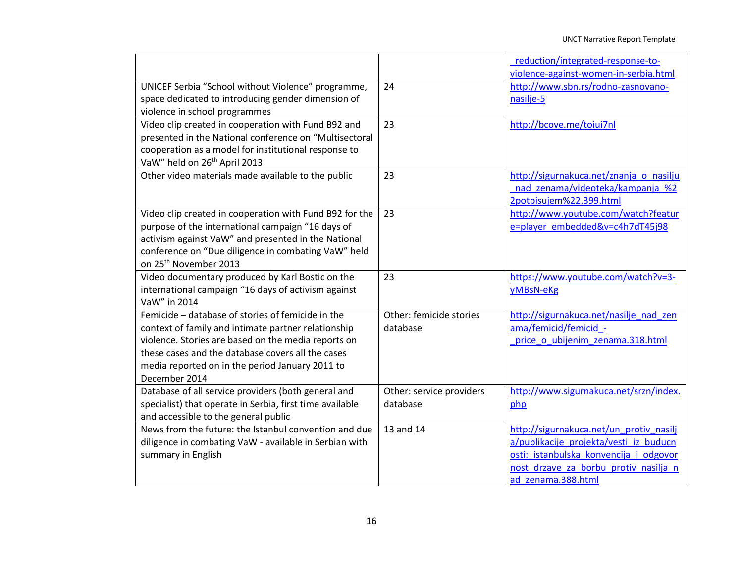|                                                                                                                                                                                                                                                                                          |                                      | reduction/integrated-response-to-<br>violence-against-women-in-serbia.html                                                                                                                 |
|------------------------------------------------------------------------------------------------------------------------------------------------------------------------------------------------------------------------------------------------------------------------------------------|--------------------------------------|--------------------------------------------------------------------------------------------------------------------------------------------------------------------------------------------|
| UNICEF Serbia "School without Violence" programme,<br>space dedicated to introducing gender dimension of<br>violence in school programmes                                                                                                                                                | 24                                   | http://www.sbn.rs/rodno-zasnovano-<br>nasilje-5                                                                                                                                            |
| Video clip created in cooperation with Fund B92 and<br>presented in the National conference on "Multisectoral<br>cooperation as a model for institutional response to<br>VaW" held on 26 <sup>th</sup> April 2013                                                                        | 23                                   | http://bcove.me/toiui7nl                                                                                                                                                                   |
| Other video materials made available to the public                                                                                                                                                                                                                                       | 23                                   | http://sigurnakuca.net/znanja o nasilju<br>nad zenama/videoteka/kampanja %2<br>2potpisujem%22.399.html                                                                                     |
| Video clip created in cooperation with Fund B92 for the<br>purpose of the international campaign "16 days of<br>activism against VaW" and presented in the National<br>conference on "Due diligence in combating VaW" held<br>on 25 <sup>th</sup> November 2013                          | 23                                   | http://www.youtube.com/watch?featur<br>e=player embedded&v=c4h7dT45j98                                                                                                                     |
| Video documentary produced by Karl Bostic on the<br>international campaign "16 days of activism against<br>VaW" in 2014                                                                                                                                                                  | 23                                   | https://www.youtube.com/watch?v=3-<br>yMBsN-eKg                                                                                                                                            |
| Femicide - database of stories of femicide in the<br>context of family and intimate partner relationship<br>violence. Stories are based on the media reports on<br>these cases and the database covers all the cases<br>media reported on in the period January 2011 to<br>December 2014 | Other: femicide stories<br>database  | http://sigurnakuca.net/nasilje nad zen<br>ama/femicid/femicid -<br>price o ubijenim zenama.318.html                                                                                        |
| Database of all service providers (both general and<br>specialist) that operate in Serbia, first time available<br>and accessible to the general public                                                                                                                                  | Other: service providers<br>database | http://www.sigurnakuca.net/srzn/index.<br>php                                                                                                                                              |
| News from the future: the Istanbul convention and due<br>diligence in combating VaW - available in Serbian with<br>summary in English                                                                                                                                                    | 13 and 14                            | http://sigurnakuca.net/un protiv nasilj<br>a/publikacije projekta/vesti iz buducn<br>osti: istanbulska konvencija i odgovor<br>nost drzave za borbu protiv nasilja n<br>ad zenama.388.html |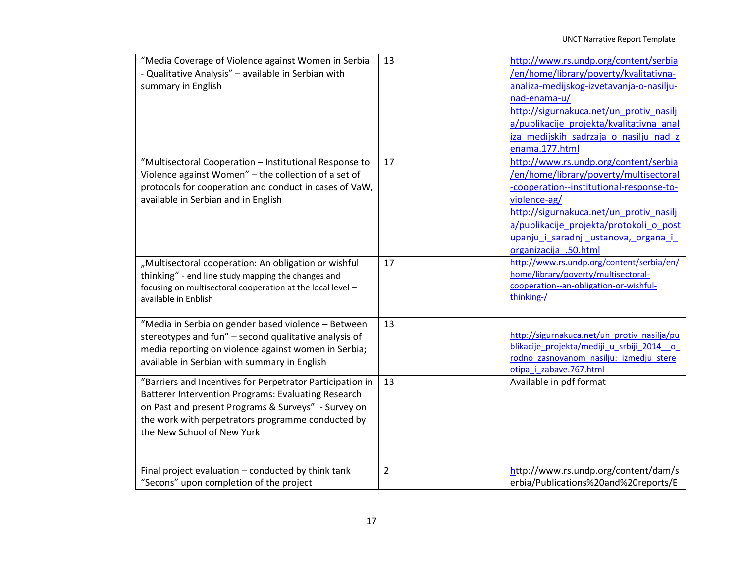| "Media Coverage of Violence against Women in Serbia<br>- Qualitative Analysis" - available in Serbian with<br>summary in English                                                                                                                           | 13             | http://www.rs.undp.org/content/serbia<br>/en/home/library/poverty/kvalitativna-<br>analiza-medijskog-izvetavanja-o-nasilju-<br>nad-enama-u/<br>http://sigurnakuca.net/un protiv nasilj<br>a/publikacije projekta/kvalitativna anal<br>iza medijskih sadrzaja o nasilju nad z<br>enama.177.html     |
|------------------------------------------------------------------------------------------------------------------------------------------------------------------------------------------------------------------------------------------------------------|----------------|----------------------------------------------------------------------------------------------------------------------------------------------------------------------------------------------------------------------------------------------------------------------------------------------------|
| "Multisectoral Cooperation - Institutional Response to<br>Violence against Women" - the collection of a set of<br>protocols for cooperation and conduct in cases of VaW,<br>available in Serbian and in English                                            | 17             | http://www.rs.undp.org/content/serbia<br>/en/home/library/poverty/multisectoral<br>-cooperation--institutional-response-to-<br>violence-ag/<br>http://sigurnakuca.net/un protiv nasilj<br>a/publikacije projekta/protokoli o post<br>upanju i saradnji ustanova, organa i<br>organizacija .50.html |
| "Multisectoral cooperation: An obligation or wishful<br>thinking" - end line study mapping the changes and<br>focusing on multisectoral cooperation at the local level -<br>available in Enblish                                                           | 17             | http://www.rs.undp.org/content/serbia/en/<br>home/library/poverty/multisectoral-<br>cooperation--an-obligation-or-wishful-<br>thinking-/                                                                                                                                                           |
| "Media in Serbia on gender based violence - Between<br>stereotypes and fun" - second qualitative analysis of<br>media reporting on violence against women in Serbia;<br>available in Serbian with summary in English                                       | 13             | http://sigurnakuca.net/un protiv nasilja/pu<br>blikacije projekta/mediji u srbiji 2014 o<br>rodno zasnovanom nasilju: izmedju stere<br>otipa i zabave.767.html                                                                                                                                     |
| "Barriers and Incentives for Perpetrator Participation in<br>Batterer Intervention Programs: Evaluating Research<br>on Past and present Programs & Surveys" - Survey on<br>the work with perpetrators programme conducted by<br>the New School of New York | 13             | Available in pdf format                                                                                                                                                                                                                                                                            |
| Final project evaluation - conducted by think tank<br>"Secons" upon completion of the project                                                                                                                                                              | $\overline{2}$ | http://www.rs.undp.org/content/dam/s<br>erbia/Publications%20and%20reports/E                                                                                                                                                                                                                       |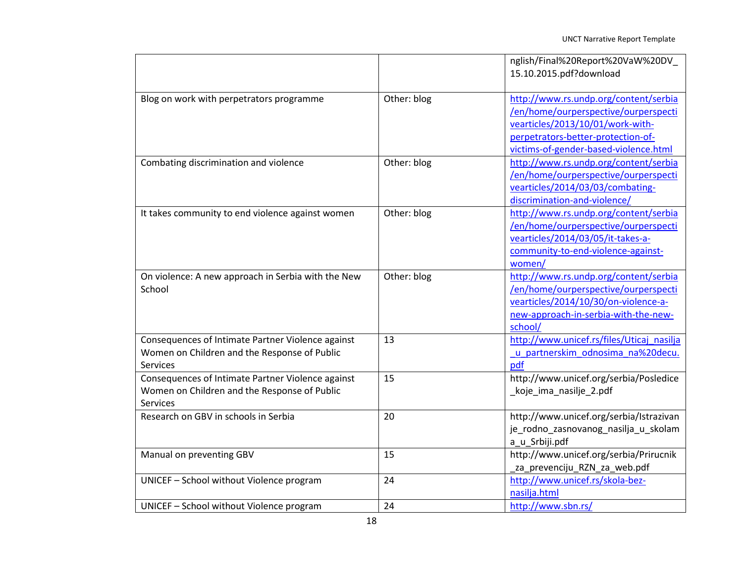|                                                                                                                      |             | nglish/Final%20Report%20VaW%20DV<br>15.10.2015.pdf?download                                                                                                                                      |
|----------------------------------------------------------------------------------------------------------------------|-------------|--------------------------------------------------------------------------------------------------------------------------------------------------------------------------------------------------|
| Blog on work with perpetrators programme                                                                             | Other: blog | http://www.rs.undp.org/content/serbia<br>/en/home/ourperspective/ourperspecti<br>vearticles/2013/10/01/work-with-<br>perpetrators-better-protection-of-<br>victims-of-gender-based-violence.html |
| Combating discrimination and violence                                                                                | Other: blog | http://www.rs.undp.org/content/serbia<br>/en/home/ourperspective/ourperspecti<br>vearticles/2014/03/03/combating-<br>discrimination-and-violence/                                                |
| It takes community to end violence against women                                                                     | Other: blog | http://www.rs.undp.org/content/serbia<br>/en/home/ourperspective/ourperspecti<br>vearticles/2014/03/05/it-takes-a-<br>community-to-end-violence-against-<br>women/                               |
| On violence: A new approach in Serbia with the New<br>School                                                         | Other: blog | http://www.rs.undp.org/content/serbia<br>/en/home/ourperspective/ourperspecti<br>vearticles/2014/10/30/on-violence-a-<br>new-approach-in-serbia-with-the-new-<br>school/                         |
| Consequences of Intimate Partner Violence against<br>Women on Children and the Response of Public<br><b>Services</b> | 13          | http://www.unicef.rs/files/Uticaj nasilja<br>u partnerskim odnosima na%20decu.<br>pdf                                                                                                            |
| Consequences of Intimate Partner Violence against<br>Women on Children and the Response of Public<br><b>Services</b> | 15          | http://www.unicef.org/serbia/Posledice<br>_koje_ima_nasilje_2.pdf                                                                                                                                |
| Research on GBV in schools in Serbia                                                                                 | 20          | http://www.unicef.org/serbia/Istrazivan<br>je_rodno_zasnovanog_nasilja_u_skolam<br>a_u_Srbiji.pdf                                                                                                |
| Manual on preventing GBV                                                                                             | 15          | http://www.unicef.org/serbia/Prirucnik<br>_za_prevenciju_RZN_za_web.pdf                                                                                                                          |
| UNICEF - School without Violence program                                                                             | 24          | http://www.unicef.rs/skola-bez-<br>nasilja.html                                                                                                                                                  |
| UNICEF - School without Violence program                                                                             | 24          | http://www.sbn.rs/                                                                                                                                                                               |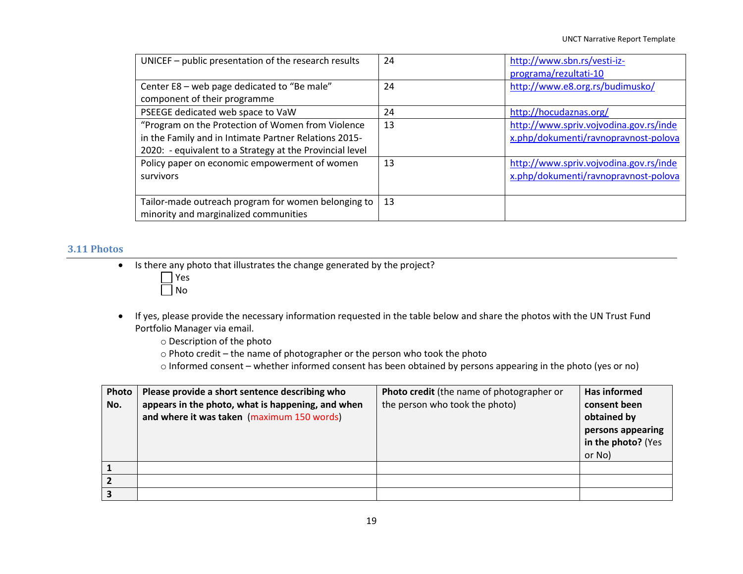| UNICEF - public presentation of the research results                                                                                                                   | 24 | http://www.sbn.rs/vesti-iz-<br>programa/rezultati-10                           |
|------------------------------------------------------------------------------------------------------------------------------------------------------------------------|----|--------------------------------------------------------------------------------|
| Center E8 - web page dedicated to "Be male"<br>component of their programme                                                                                            | 24 | http://www.e8.org.rs/budimusko/                                                |
| PSEEGE dedicated web space to VaW                                                                                                                                      | 24 | http://hocudaznas.org/                                                         |
| "Program on the Protection of Women from Violence<br>in the Family and in Intimate Partner Relations 2015-<br>2020: - equivalent to a Strategy at the Provincial level | 13 | http://www.spriv.vojvodina.gov.rs/inde<br>x.php/dokumenti/ravnopravnost-polova |
| Policy paper on economic empowerment of women<br>survivors                                                                                                             | 13 | http://www.spriv.vojvodina.gov.rs/inde<br>x.php/dokumenti/ravnopravnost-polova |
| Tailor-made outreach program for women belonging to<br>minority and marginalized communities                                                                           | 13 |                                                                                |

#### **3.11 Photos**

• Is there any photo that illustrates the change generated by the project?



- If yes, please provide the necessary information requested in the table below and share the photos with the UN Trust Fund Portfolio Manager via email.
	- o Description of the photo
	- o Photo credit the name of photographer or the person who took the photo
	- o Informed consent whether informed consent has been obtained by persons appearing in the photo (yes or no)

| Photo | Please provide a short sentence describing who    | <b>Photo credit</b> (the name of photographer or | <b>Has informed</b> |
|-------|---------------------------------------------------|--------------------------------------------------|---------------------|
| No.   | appears in the photo, what is happening, and when | the person who took the photo)                   | consent been        |
|       | and where it was taken (maximum 150 words)        |                                                  | obtained by         |
|       |                                                   |                                                  | persons appearing   |
|       |                                                   |                                                  | in the photo? (Yes  |
|       |                                                   |                                                  | or No)              |
|       |                                                   |                                                  |                     |
|       |                                                   |                                                  |                     |
|       |                                                   |                                                  |                     |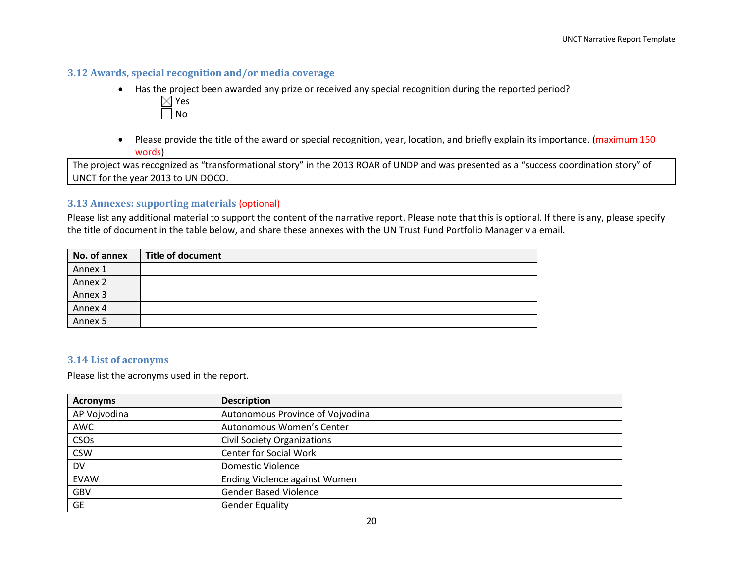## **3.12 Awards, special recognition and/or media coverage**

- Has the project been awarded any prize or received any special recognition during the reported period?  $\boxtimes$  Yes  $\Box$  No
- Please provide the title of the award or special recognition, year, location, and briefly explain its importance. (maximum 150 words)

The project was recognized as "transformational story" in the 2013 ROAR of UNDP and was presented as a "success coordination story" of UNCT for the year 2013 to UN DOCO.

## **3.13 Annexes: supporting materials** (optional)

Please list any additional material to support the content of the narrative report. Please note that this is optional. If there is any, please specify the title of document in the table below, and share these annexes with the UN Trust Fund Portfolio Manager via email.

| No. of annex | <b>Title of document</b> |
|--------------|--------------------------|
| Annex 1      |                          |
| Annex 2      |                          |
| Annex 3      |                          |
| Annex 4      |                          |
| Annex 5      |                          |

#### **3.14 List of acronyms**

Please list the acronyms used in the report.

| <b>Acronyms</b>  | <b>Description</b>                 |
|------------------|------------------------------------|
| AP Vojvodina     | Autonomous Province of Vojvodina   |
| AWC              | Autonomous Women's Center          |
| CSO <sub>S</sub> | <b>Civil Society Organizations</b> |
| <b>CSW</b>       | <b>Center for Social Work</b>      |
| <b>DV</b>        | <b>Domestic Violence</b>           |
| <b>EVAW</b>      | Ending Violence against Women      |
| GBV              | <b>Gender Based Violence</b>       |
| <b>GE</b>        | <b>Gender Equality</b>             |